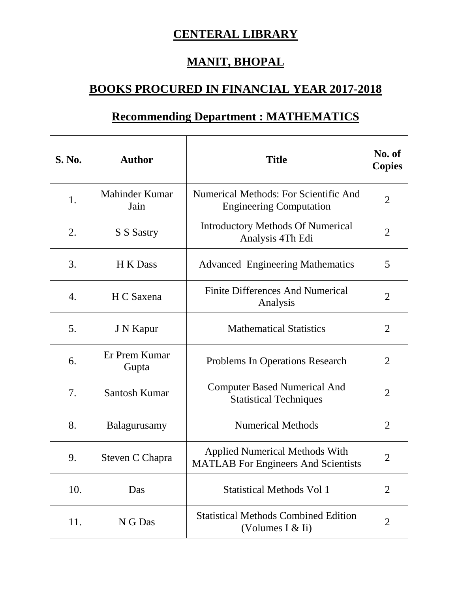## **CENTERAL LIBRARY**

## **MANIT, BHOPAL**

## **BOOKS PROCURED IN FINANCIAL YEAR 2017-2018**

## **Recommending Department : MATHEMATICS**

| <b>S. No.</b> | <b>Author</b>          | <b>Title</b>                                                                        | No. of<br><b>Copies</b> |
|---------------|------------------------|-------------------------------------------------------------------------------------|-------------------------|
| 1.            | Mahinder Kumar<br>Jain | <b>Numerical Methods: For Scientific And</b><br><b>Engineering Computation</b>      | $\overline{2}$          |
| 2.            | S S Sastry             | <b>Introductory Methods Of Numerical</b><br>Analysis 4Th Edi                        | $\overline{2}$          |
| 3.            | H K Dass               | <b>Advanced Engineering Mathematics</b>                                             | 5                       |
| 4.            | H C Saxena             | <b>Finite Differences And Numerical</b><br>Analysis                                 | $\overline{2}$          |
| 5.            | J N Kapur              | <b>Mathematical Statistics</b>                                                      | $\overline{2}$          |
| 6.            | Er Prem Kumar<br>Gupta | Problems In Operations Research                                                     | $\overline{2}$          |
| 7.            | Santosh Kumar          | <b>Computer Based Numerical And</b><br><b>Statistical Techniques</b>                | $\overline{2}$          |
| 8.            | Balagurusamy           | <b>Numerical Methods</b>                                                            | $\overline{2}$          |
| 9.            | Steven C Chapra        | <b>Applied Numerical Methods With</b><br><b>MATLAB</b> For Engineers And Scientists | $\overline{2}$          |
| 10.           | Das                    | <b>Statistical Methods Vol 1</b>                                                    | $\overline{2}$          |
| 11.           | N G Das                | <b>Statistical Methods Combined Edition</b><br>(Volumes I $&$ Ii)                   | $\overline{2}$          |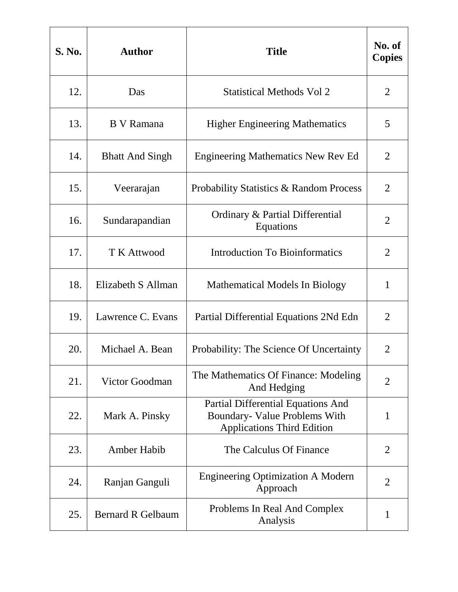| S. No. | <b>Author</b>            | <b>Title</b>                                                                                             | No. of<br><b>Copies</b> |
|--------|--------------------------|----------------------------------------------------------------------------------------------------------|-------------------------|
| 12.    | Das                      | <b>Statistical Methods Vol 2</b>                                                                         | $\overline{2}$          |
| 13.    | B V Ramana               | <b>Higher Engineering Mathematics</b>                                                                    | 5                       |
| 14.    | <b>Bhatt And Singh</b>   | <b>Engineering Mathematics New Rev Ed</b>                                                                | $\overline{2}$          |
| 15.    | Veerarajan               | Probability Statistics & Random Process                                                                  | $\overline{2}$          |
| 16.    | Sundarapandian           | Ordinary & Partial Differential<br>Equations                                                             | $\overline{2}$          |
| 17.    | <b>T K Attwood</b>       | <b>Introduction To Bioinformatics</b>                                                                    | $\overline{2}$          |
| 18.    | Elizabeth S Allman       | Mathematical Models In Biology                                                                           | $\mathbf{1}$            |
| 19.    | Lawrence C. Evans        | Partial Differential Equations 2Nd Edn                                                                   | $\overline{2}$          |
| 20.    | Michael A. Bean          | Probability: The Science Of Uncertainty                                                                  | $\overline{2}$          |
| 21.    | Victor Goodman           | The Mathematics Of Finance: Modeling<br>And Hedging                                                      | $\overline{2}$          |
| 22.    | Mark A. Pinsky           | Partial Differential Equations And<br>Boundary- Value Problems With<br><b>Applications Third Edition</b> | $\mathbf{1}$            |
| 23.    | <b>Amber Habib</b>       | The Calculus Of Finance                                                                                  | $\overline{2}$          |
| 24.    | Ranjan Ganguli           | <b>Engineering Optimization A Modern</b><br>Approach                                                     | $\overline{2}$          |
| 25.    | <b>Bernard R Gelbaum</b> | Problems In Real And Complex<br>Analysis                                                                 | 1                       |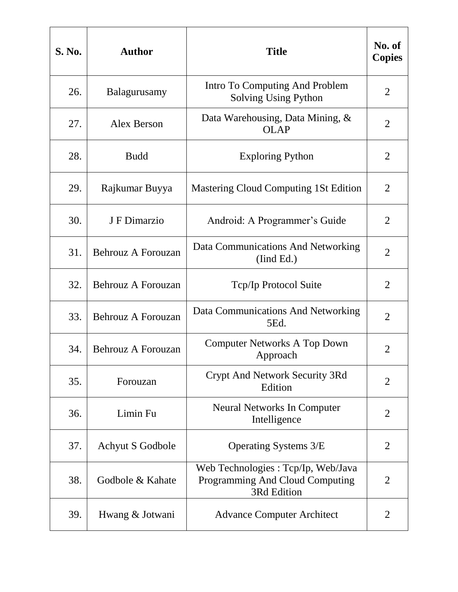| <b>S. No.</b> | <b>Author</b>             | <b>Title</b>                                                                         | No. of<br><b>Copies</b> |
|---------------|---------------------------|--------------------------------------------------------------------------------------|-------------------------|
| 26.           | Balagurusamy              | Intro To Computing And Problem<br>Solving Using Python                               | $\overline{2}$          |
| 27.           | Alex Berson               | Data Warehousing, Data Mining, &<br><b>OLAP</b>                                      | 2                       |
| 28.           | <b>Budd</b>               | <b>Exploring Python</b>                                                              | $\overline{2}$          |
| 29.           | Rajkumar Buyya            | Mastering Cloud Computing 1St Edition                                                | $\overline{2}$          |
| 30.           | J F Dimarzio              | Android: A Programmer's Guide                                                        | $\overline{2}$          |
| 31.           | Behrouz A Forouzan        | Data Communications And Networking<br>(Iind Ed.)                                     | $\overline{2}$          |
| 32.           | <b>Behrouz A Forouzan</b> | Tcp/Ip Protocol Suite                                                                | $\overline{2}$          |
| 33.           | <b>Behrouz A Forouzan</b> | Data Communications And Networking<br>5Ed.                                           | $\overline{2}$          |
| 34.           | <b>Behrouz A Forouzan</b> | Computer Networks A Top Down<br>Approach                                             | 2                       |
| 35.           | Forouzan                  | Crypt And Network Security 3Rd<br>Edition                                            | $\overline{2}$          |
| 36.           | Limin Fu                  | <b>Neural Networks In Computer</b><br>Intelligence                                   | $\overline{2}$          |
| 37.           | Achyut S Godbole          | Operating Systems 3/E                                                                | $\overline{2}$          |
| 38.           | Godbole & Kahate          | Web Technologies: Tcp/Ip, Web/Java<br>Programming And Cloud Computing<br>3Rd Edition | $\overline{2}$          |
| 39.           | Hwang & Jotwani           | <b>Advance Computer Architect</b>                                                    | 2                       |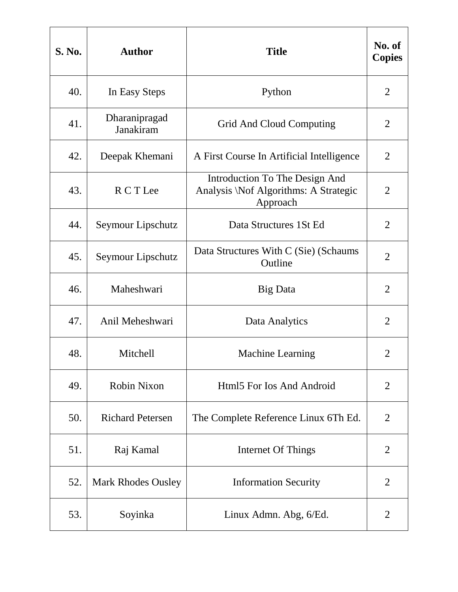| <b>S. No.</b> | <b>Author</b>              | <b>Title</b>                                                                        | No. of<br><b>Copies</b> |
|---------------|----------------------------|-------------------------------------------------------------------------------------|-------------------------|
| 40.           | In Easy Steps              | Python                                                                              | $\overline{2}$          |
| 41.           | Dharanipragad<br>Janakiram | Grid And Cloud Computing                                                            | 2                       |
| 42.           | Deepak Khemani             | A First Course In Artificial Intelligence                                           | $\overline{2}$          |
| 43.           | R C T Lee                  | Introduction To The Design And<br>Analysis \Nof Algorithms: A Strategic<br>Approach | $\overline{2}$          |
| 44.           | Seymour Lipschutz          | Data Structures 1 St Ed                                                             | $\overline{2}$          |
| 45.           | Seymour Lipschutz          | Data Structures With C (Sie) (Schaums<br>Outline                                    | $\overline{2}$          |
| 46.           | Maheshwari                 | Big Data                                                                            | $\overline{2}$          |
| 47.           | Anil Meheshwari            | Data Analytics                                                                      | $\overline{2}$          |
| 48.           | Mitchell                   | <b>Machine Learning</b>                                                             | $\overline{2}$          |
| 49.           | Robin Nixon                | Html5 For Ios And Android                                                           | $\overline{2}$          |
| 50.           | <b>Richard Petersen</b>    | The Complete Reference Linux 6Th Ed.                                                | $\overline{2}$          |
| 51.           | Raj Kamal                  | Internet Of Things                                                                  | $\overline{2}$          |
| 52.           | <b>Mark Rhodes Ousley</b>  | <b>Information Security</b>                                                         | $\overline{2}$          |
| 53.           | Soyinka                    | Linux Admn. Abg, 6/Ed.                                                              | 2                       |